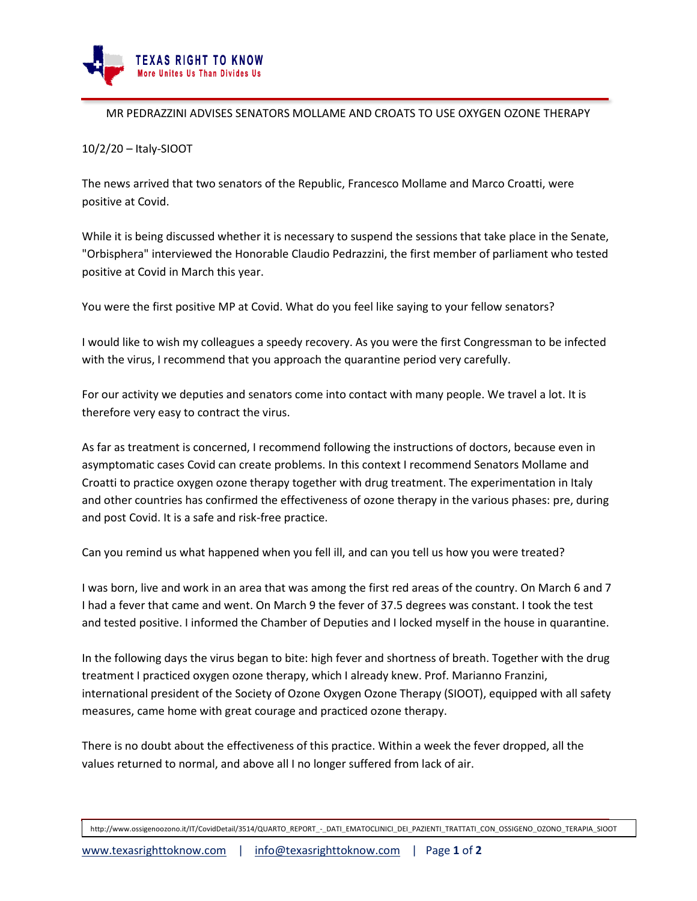

## MR PEDRAZZINI ADVISES SENATORS MOLLAME AND CROATS TO USE OXYGEN OZONE THERAPY

## 10/2/20 – Italy-SIOOT

The news arrived that two senators of the Republic, Francesco Mollame and Marco Croatti, were positive at Covid.

While it is being discussed whether it is necessary to suspend the sessions that take place in the Senate, "Orbisphera" interviewed the Honorable Claudio Pedrazzini, the first member of parliament who tested positive at Covid in March this year.

You were the first positive MP at Covid. What do you feel like saying to your fellow senators?

I would like to wish my colleagues a speedy recovery. As you were the first Congressman to be infected with the virus, I recommend that you approach the quarantine period very carefully.

For our activity we deputies and senators come into contact with many people. We travel a lot. It is therefore very easy to contract the virus.

As far as treatment is concerned, I recommend following the instructions of doctors, because even in asymptomatic cases Covid can create problems. In this context I recommend Senators Mollame and Croatti to practice oxygen ozone therapy together with drug treatment. The experimentation in Italy and other countries has confirmed the effectiveness of ozone therapy in the various phases: pre, during and post Covid. It is a safe and risk-free practice.

Can you remind us what happened when you fell ill, and can you tell us how you were treated?

I was born, live and work in an area that was among the first red areas of the country. On March 6 and 7 I had a fever that came and went. On March 9 the fever of 37.5 degrees was constant. I took the test and tested positive. I informed the Chamber of Deputies and I locked myself in the house in quarantine.

In the following days the virus began to bite: high fever and shortness of breath. Together with the drug treatment I practiced oxygen ozone therapy, which I already knew. Prof. Marianno Franzini, international president of the Society of Ozone Oxygen Ozone Therapy (SIOOT), equipped with all safety measures, came home with great courage and practiced ozone therapy.

There is no doubt about the effectiveness of this practice. Within a week the fever dropped, all the values returned to normal, and above all I no longer suffered from lack of air.

http://www.ossigenoozono.it/IT/CovidDetail/3514/QUARTO\_REPORT - DATI\_EMATOCLINICI\_DEI\_PAZIENTI\_TRATTATI\_CON\_OSSIGENO\_OZONO\_TERAPIA\_SIOOT